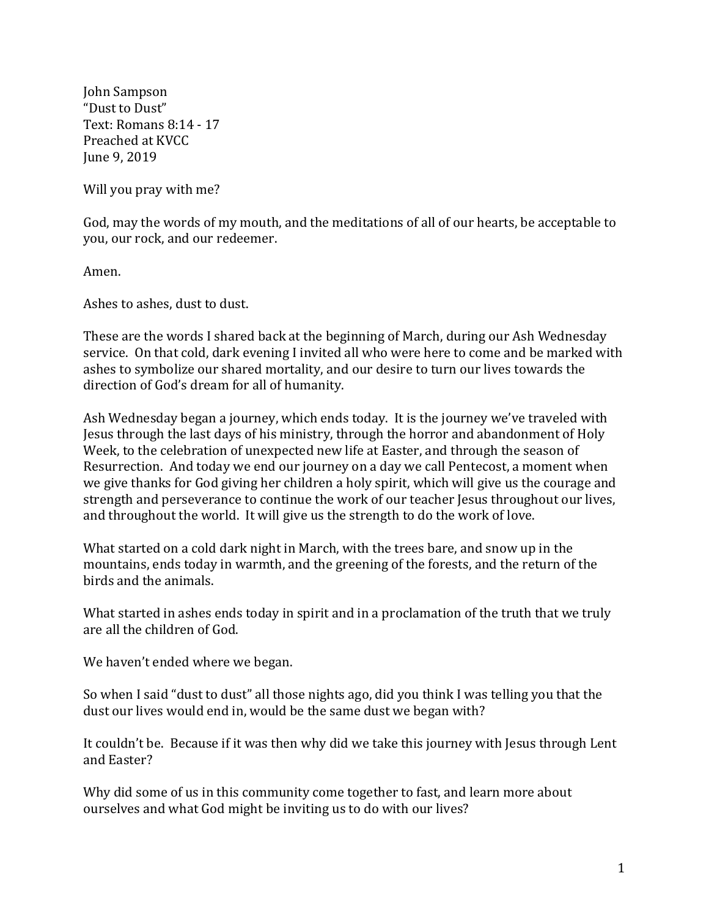John Sampson "Dust to Dust" Text: Romans 8:14 - 17 Preached at KVCC June 9, 2019

Will you pray with me?

God, may the words of my mouth, and the meditations of all of our hearts, be acceptable to you, our rock, and our redeemer.

Amen.

Ashes to ashes, dust to dust.

These are the words I shared back at the beginning of March, during our Ash Wednesday service. On that cold, dark evening I invited all who were here to come and be marked with ashes to symbolize our shared mortality, and our desire to turn our lives towards the direction of God's dream for all of humanity.

Ash Wednesday began a journey, which ends today. It is the journey we've traveled with Jesus through the last days of his ministry, through the horror and abandonment of Holy Week, to the celebration of unexpected new life at Easter, and through the season of Resurrection. And today we end our journey on a day we call Pentecost, a moment when we give thanks for God giving her children a holy spirit, which will give us the courage and strength and perseverance to continue the work of our teacher Jesus throughout our lives, and throughout the world. It will give us the strength to do the work of love.

What started on a cold dark night in March, with the trees bare, and snow up in the mountains, ends today in warmth, and the greening of the forests, and the return of the birds and the animals.

What started in ashes ends today in spirit and in a proclamation of the truth that we truly are all the children of God.

We haven't ended where we began.

So when I said "dust to dust" all those nights ago, did you think I was telling you that the dust our lives would end in, would be the same dust we began with?

It couldn't be. Because if it was then why did we take this journey with Jesus through Lent and Easter?

Why did some of us in this community come together to fast, and learn more about ourselves and what God might be inviting us to do with our lives?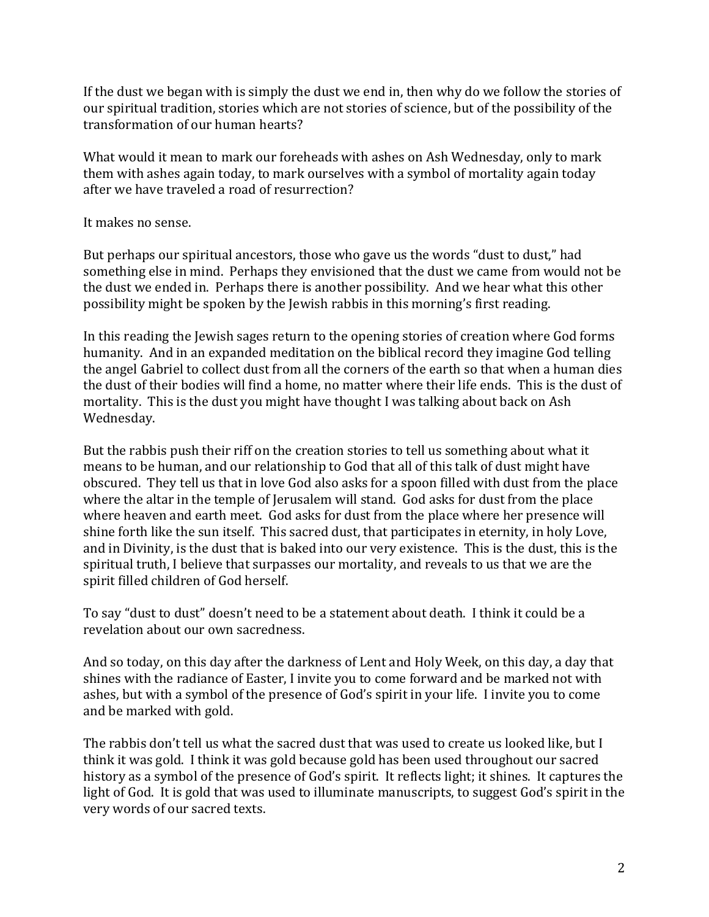If the dust we began with is simply the dust we end in, then why do we follow the stories of our spiritual tradition, stories which are not stories of science, but of the possibility of the transformation of our human hearts?

What would it mean to mark our foreheads with ashes on Ash Wednesday, only to mark them with ashes again today, to mark ourselves with a symbol of mortality again today after we have traveled a road of resurrection?

It makes no sense.

But perhaps our spiritual ancestors, those who gave us the words "dust to dust," had something else in mind. Perhaps they envisioned that the dust we came from would not be the dust we ended in. Perhaps there is another possibility. And we hear what this other possibility might be spoken by the Jewish rabbis in this morning's first reading.

In this reading the Jewish sages return to the opening stories of creation where God forms humanity. And in an expanded meditation on the biblical record they imagine God telling the angel Gabriel to collect dust from all the corners of the earth so that when a human dies the dust of their bodies will find a home, no matter where their life ends. This is the dust of mortality. This is the dust you might have thought I was talking about back on Ash Wednesday.

But the rabbis push their riff on the creation stories to tell us something about what it means to be human, and our relationship to God that all of this talk of dust might have obscured. They tell us that in love God also asks for a spoon filled with dust from the place where the altar in the temple of Jerusalem will stand. God asks for dust from the place where heaven and earth meet. God asks for dust from the place where her presence will shine forth like the sun itself. This sacred dust, that participates in eternity, in holy Love, and in Divinity, is the dust that is baked into our very existence. This is the dust, this is the spiritual truth, I believe that surpasses our mortality, and reveals to us that we are the spirit filled children of God herself.

To say "dust to dust" doesn't need to be a statement about death. I think it could be a revelation about our own sacredness.

And so today, on this day after the darkness of Lent and Holy Week, on this day, a day that shines with the radiance of Easter, I invite you to come forward and be marked not with ashes, but with a symbol of the presence of God's spirit in your life. I invite you to come and be marked with gold.

The rabbis don't tell us what the sacred dust that was used to create us looked like, but I think it was gold. I think it was gold because gold has been used throughout our sacred history as a symbol of the presence of God's spirit. It reflects light; it shines. It captures the light of God. It is gold that was used to illuminate manuscripts, to suggest God's spirit in the very words of our sacred texts.